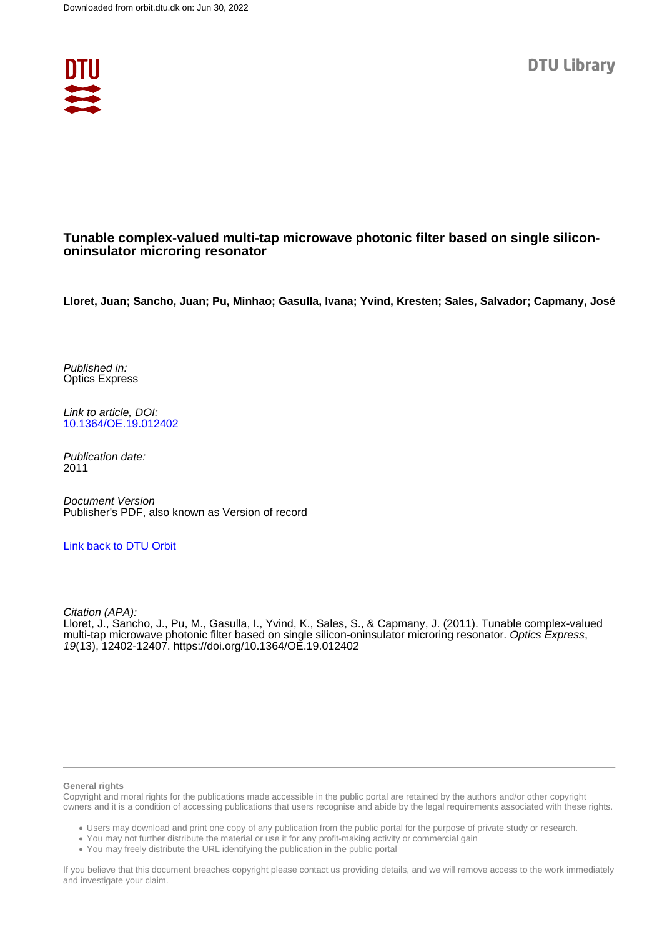

## **Tunable complex-valued multi-tap microwave photonic filter based on single silicononinsulator microring resonator**

**Lloret, Juan; Sancho, Juan; Pu, Minhao; Gasulla, Ivana; Yvind, Kresten; Sales, Salvador; Capmany, José**

Published in: Optics Express

Link to article, DOI: [10.1364/OE.19.012402](https://doi.org/10.1364/OE.19.012402)

Publication date: 2011

Document Version Publisher's PDF, also known as Version of record

## [Link back to DTU Orbit](https://orbit.dtu.dk/en/publications/3e1d5ac3-400b-4fe8-b746-ed7c5158a6d6)

Citation (APA): Lloret, J., Sancho, J., Pu, M., Gasulla, I., Yvind, K., Sales, S., & Capmany, J. (2011). Tunable complex-valued multi-tap microwave photonic filter based on single silicon-oninsulator microring resonator. Optics Express, 19(13), 12402-12407. <https://doi.org/10.1364/OE.19.012402>

#### **General rights**

Copyright and moral rights for the publications made accessible in the public portal are retained by the authors and/or other copyright owners and it is a condition of accessing publications that users recognise and abide by the legal requirements associated with these rights.

Users may download and print one copy of any publication from the public portal for the purpose of private study or research.

- You may not further distribute the material or use it for any profit-making activity or commercial gain
- You may freely distribute the URL identifying the publication in the public portal

If you believe that this document breaches copyright please contact us providing details, and we will remove access to the work immediately and investigate your claim.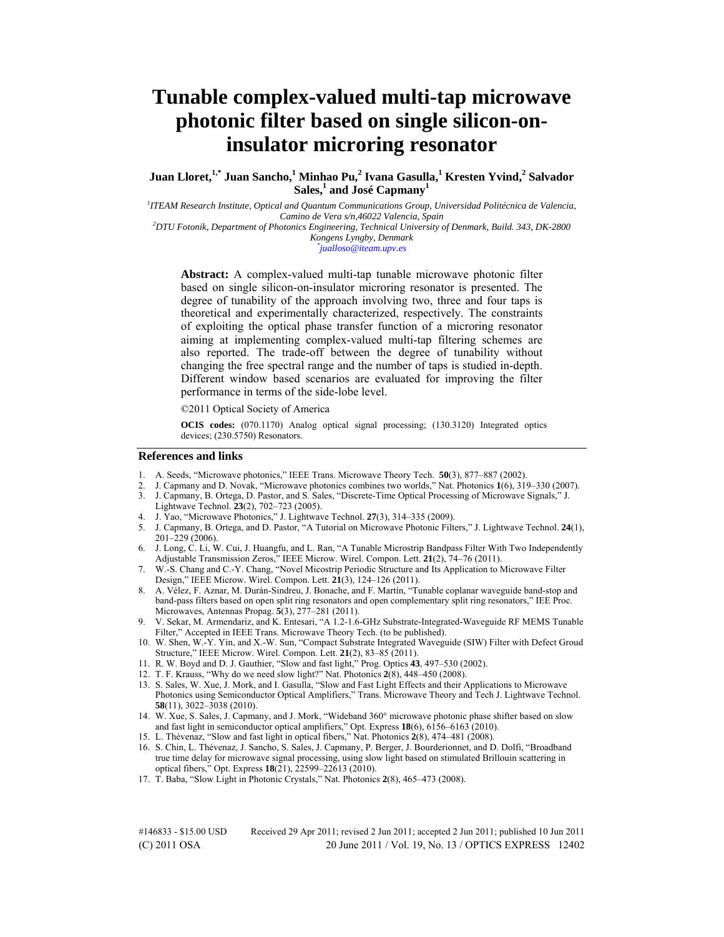# **Tunable complex-valued multi-tap microwave photonic filter based on single silicon-oninsulator microring resonator**

 $J$ uan  $L$ loret, $^{1,*}$  Juan Sancho, $^{1}$  Minhao Pu, $^{2}$  Ivana Gasulla, $^{1}$  Kresten Yvind, $^{2}$  Salvador **Sales,<sup>1</sup> and José Capmany<sup>1</sup>**

*1 ITEAM Research Institute, Optical and Quantum Communications Group, Universidad Politécnica de Valencia, Camino de Vera s/n,46022 Valencia, Spain 2 DTU Fotonik, Department of Photonics Engineering, Technical University of Denmark, Build. 343, DK-2800* 

*Kongens Lyngby, Denmark \**

*jualloso@iteam.upv.es* 

**Abstract:** A complex-valued multi-tap tunable microwave photonic filter based on single silicon-on-insulator microring resonator is presented. The degree of tunability of the approach involving two, three and four taps is theoretical and experimentally characterized, respectively. The constraints of exploiting the optical phase transfer function of a microring resonator aiming at implementing complex-valued multi-tap filtering schemes are also reported. The trade-off between the degree of tunability without changing the free spectral range and the number of taps is studied in-depth. Different window based scenarios are evaluated for improving the filter performance in terms of the side-lobe level.

©2011 Optical Society of America

**OCIS codes:** (070.1170) Analog optical signal processing; (130.3120) Integrated optics devices; (230.5750) Resonators.

## **References and links**

- 1. A. Seeds, "Microwave photonics," IEEE Trans. Microwave Theory Tech. **50**(3), 877–887 (2002).
- 2. J. Capmany and D. Novak, "Microwave photonics combines two worlds," Nat. Photonics **1**(6), 319–330 (2007). 3. J. Capmany, B. Ortega, D. Pastor, and S. Sales, "Discrete-Time Optical Processing of Microwave Signals," J.
- Lightwave Technol. **23**(2), 702–723 (2005). 4. J. Yao, "Microwave Photonics," J. Lightwave Technol. **27**(3), 314–335 (2009).
- 
- 5. J. Capmany, B. Ortega, and D. Pastor, "A Tutorial on Microwave Photonic Filters," J. Lightwave Technol. **24**(1), 201–229 (2006).
- 6. J. Long, C. Li, W. Cui, J. Huangfu, and L. Ran, "A Tunable Microstrip Bandpass Filter With Two Independently Adjustable Transmission Zeros," IEEE Microw. Wirel. Compon. Lett. **21**(2), 74–76 (2011).
- 7. W.-S. Chang and C.-Y. Chang, "Novel Micostrip Periodic Structure and Its Application to Microwave Filter Design," IEEE Microw. Wirel. Compon. Lett. **21**(3), 124–126 (2011).
- 8. A. Vélez, F. Aznar, M. Durán-Sindreu, J. Bonache, and F. Martín, "Tunable coplanar waveguide band-stop and band-pass filters based on open split ring resonators and open complementary split ring resonators," IEE Proc. Microwaves, Antennas Propag. **5**(3), 277–281 (2011).
- 9. V. Sekar, M. Armendariz, and K. Entesari, "A 1.2-1.6-GHz Substrate-Integrated-Waveguide RF MEMS Tunable Filter," Accepted in IEEE Trans. Microwave Theory Tech. (to be published).
- 10. W. Shen, W.-Y. Yin, and X.-W. Sun, "Compact Substrate Integrated Waveguide (SIW) Filter with Defect Groud Structure," IEEE Microw. Wirel. Compon. Lett. **21**(2), 83–85 (2011).
- 11. R. W. Boyd and D. J. Gauthier, "Slow and fast light," Prog. Optics **43**, 497–530 (2002).
- 12. T. F. Krauss, "Why do we need slow light?" Nat. Photonics **2**(8), 448–450 (2008).
- 13. S. Sales, W. Xue, J. Mork, and I. Gasulla, "Slow and Fast Light Effects and their Applications to Microwave Photonics using Semiconductor Optical Amplifiers," Trans. Microwave Theory and Tech J. Lightwave Technol. **58**(11), 3022–3038 (2010).
- 14. W. Xue, S. Sales, J. Capmany, and J. Mork, "Wideband 360° microwave photonic phase shifter based on slow and fast light in semiconductor optical amplifiers," Opt. Express **18**(6), 6156–6163 (2010).
- 15. L. Thévenaz, "Slow and fast light in optical fibers," Nat. Photonics **2**(8), 474–481 (2008).
- 16. S. Chin, L. Thévenaz, J. Sancho, S. Sales, J. Capmany, P. Berger, J. Bourderionnet, and D. Dolfi, "Broadband true time delay for microwave signal processing, using slow light based on stimulated Brillouin scattering in optical fibers," Opt. Express **18**(21), 22599–22613 (2010).
- 17. T. Baba, "Slow Light in Photonic Crystals," Nat. Photonics **2**(8), 465–473 (2008).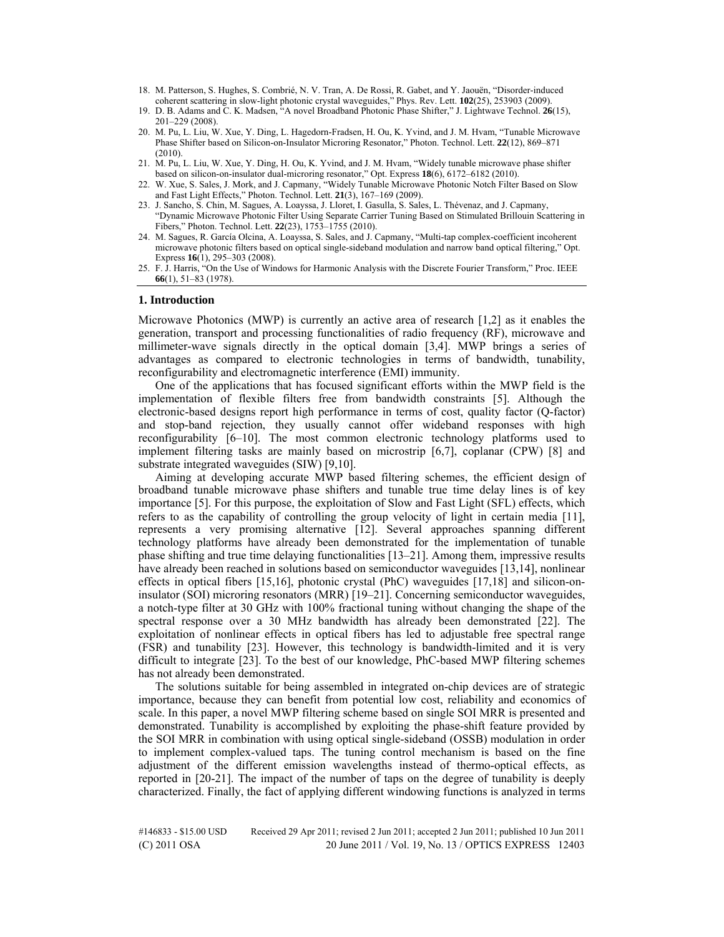- 18. M. Patterson, S. Hughes, S. Combrié, N. V. Tran, A. De Rossi, R. Gabet, and Y. Jaouën, "Disorder-induced coherent scattering in slow-light photonic crystal waveguides," Phys. Rev. Lett. **102**(25), 253903 (2009).
- 19. D. B. Adams and C. K. Madsen, "A novel Broadband Photonic Phase Shifter," J. Lightwave Technol. **26**(15), 201–229 (2008).
- 20. M. Pu, L. Liu, W. Xue, Y. Ding, L. Hagedorn-Fradsen, H. Ou, K. Yvind, and J. M. Hvam, "Tunable Microwave Phase Shifter based on Silicon-on-Insulator Microring Resonator," Photon. Technol. Lett. **22**(12), 869–871 (2010).
- 21. M. Pu, L. Liu, W. Xue, Y. Ding, H. Ou, K. Yvind, and J. M. Hvam, "Widely tunable microwave phase shifter based on silicon-on-insulator dual-microring resonator," Opt. Express **18**(6), 6172–6182 (2010).
- 22. W. Xue, S. Sales, J. Mork, and J. Capmany, "Widely Tunable Microwave Photonic Notch Filter Based on Slow and Fast Light Effects," Photon. Technol. Lett. **21**(3), 167–169 (2009).
- 23. J. Sancho, S. Chin, M. Sagues, A. Loayssa, J. Lloret, I. Gasulla, S. Sales, L. Thévenaz, and J. Capmany, "Dynamic Microwave Photonic Filter Using Separate Carrier Tuning Based on Stimulated Brillouin Scattering in Fibers," Photon. Technol. Lett. **22**(23), 1753–1755 (2010).
- 24. M. Sagues, R. García Olcina, A. Loayssa, S. Sales, and J. Capmany, "Multi-tap complex-coefficient incoherent microwave photonic filters based on optical single-sideband modulation and narrow band optical filtering," Opt. Express **16**(1), 295–303 (2008).
- 25. F. J. Harris, "On the Use of Windows for Harmonic Analysis with the Discrete Fourier Transform," Proc. IEEE **66**(1), 51–83 (1978).

#### **1. Introduction**

Microwave Photonics (MWP) is currently an active area of research [1,2] as it enables the generation, transport and processing functionalities of radio frequency (RF), microwave and millimeter-wave signals directly in the optical domain [3,4]. MWP brings a series of advantages as compared to electronic technologies in terms of bandwidth, tunability, reconfigurability and electromagnetic interference (EMI) immunity.

One of the applications that has focused significant efforts within the MWP field is the implementation of flexible filters free from bandwidth constraints [5]. Although the electronic-based designs report high performance in terms of cost, quality factor (Q-factor) and stop-band rejection, they usually cannot offer wideband responses with high reconfigurability [6–10]. The most common electronic technology platforms used to implement filtering tasks are mainly based on microstrip [6,7], coplanar (CPW) [8] and substrate integrated waveguides (SIW) [9,10].

Aiming at developing accurate MWP based filtering schemes, the efficient design of broadband tunable microwave phase shifters and tunable true time delay lines is of key importance [5]. For this purpose, the exploitation of Slow and Fast Light (SFL) effects, which refers to as the capability of controlling the group velocity of light in certain media [11], represents a very promising alternative [12]. Several approaches spanning different technology platforms have already been demonstrated for the implementation of tunable phase shifting and true time delaying functionalities [13–21]. Among them, impressive results have already been reached in solutions based on semiconductor waveguides [13,14], nonlinear effects in optical fibers [15,16], photonic crystal (PhC) waveguides [17,18] and silicon-oninsulator (SOI) microring resonators (MRR) [19–21]. Concerning semiconductor waveguides, a notch-type filter at 30 GHz with 100% fractional tuning without changing the shape of the spectral response over a 30 MHz bandwidth has already been demonstrated [22]. The exploitation of nonlinear effects in optical fibers has led to adjustable free spectral range (FSR) and tunability [23]. However, this technology is bandwidth-limited and it is very difficult to integrate [23]. To the best of our knowledge, PhC-based MWP filtering schemes has not already been demonstrated.

The solutions suitable for being assembled in integrated on-chip devices are of strategic importance, because they can benefit from potential low cost, reliability and economics of scale. In this paper, a novel MWP filtering scheme based on single SOI MRR is presented and demonstrated. Tunability is accomplished by exploiting the phase-shift feature provided by the SOI MRR in combination with using optical single-sideband (OSSB) modulation in order to implement complex-valued taps. The tuning control mechanism is based on the fine adjustment of the different emission wavelengths instead of thermo-optical effects, as reported in [20-21]. The impact of the number of taps on the degree of tunability is deeply characterized. Finally, the fact of applying different windowing functions is analyzed in terms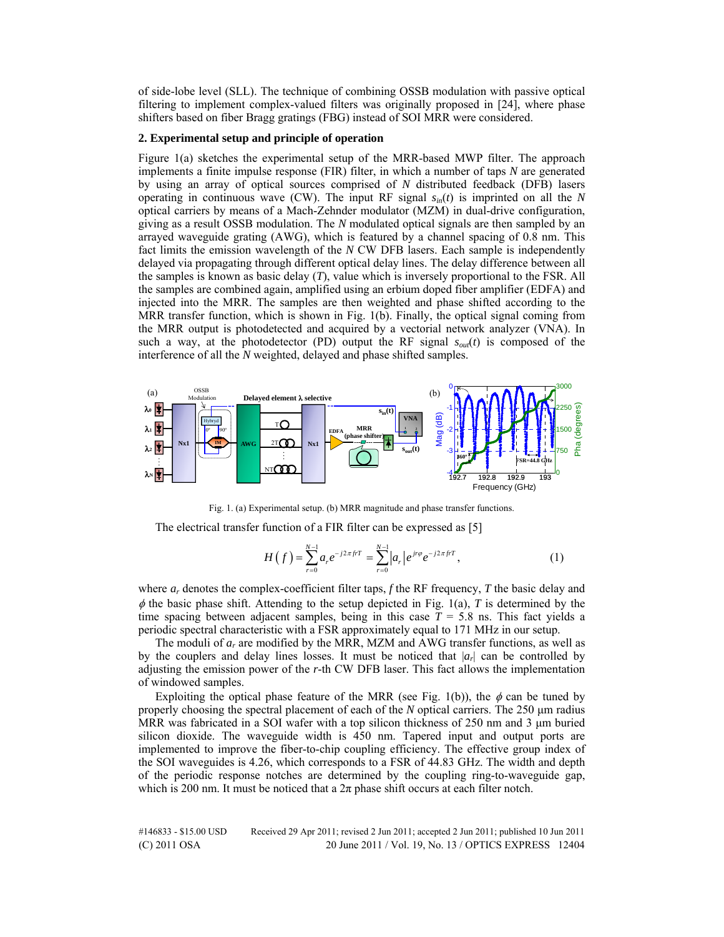of side-lobe level (SLL). The technique of combining OSSB modulation with passive optical filtering to implement complex-valued filters was originally proposed in [24], where phase shifters based on fiber Bragg gratings (FBG) instead of SOI MRR were considered.

## **2. Experimental setup and principle of operation**

Figure 1(a) sketches the experimental setup of the MRR-based MWP filter. The approach implements a finite impulse response (FIR) filter, in which a number of taps *N* are generated by using an array of optical sources comprised of *N* distributed feedback (DFB) lasers operating in continuous wave (CW). The input RF signal  $s_{in}(t)$  is imprinted on all the *N* optical carriers by means of a Mach-Zehnder modulator (MZM) in dual-drive configuration, giving as a result OSSB modulation. The *N* modulated optical signals are then sampled by an arrayed waveguide grating (AWG), which is featured by a channel spacing of 0.8 nm. This fact limits the emission wavelength of the *N* CW DFB lasers. Each sample is independently delayed via propagating through different optical delay lines. The delay difference between all the samples is known as basic delay (*T*), value which is inversely proportional to the FSR. All the samples are combined again, amplified using an erbium doped fiber amplifier (EDFA) and injected into the MRR. The samples are then weighted and phase shifted according to the MRR transfer function, which is shown in Fig. 1(b). Finally, the optical signal coming from the MRR output is photodetected and acquired by a vectorial network analyzer (VNA). In such a way, at the photodetector (PD) output the RF signal  $s_{out}(t)$  is composed of the interference of all the *N* weighted, delayed and phase shifted samples.



Fig. 1. (a) Experimental setup. (b) MRR magnitude and phase transfer functions.

The electrical transfer function of a FIR filter can be expressed as [5]

$$
H(f) = \sum_{r=0}^{N-1} a_r e^{-j2\pi f r} = \sum_{r=0}^{N-1} |a_r| e^{j r \varphi} e^{-j2\pi f r}, \qquad (1)
$$

where  $a_r$  denotes the complex-coefficient filter taps,  $f$  the RF frequency,  $T$  the basic delay and  $\phi$  the basic phase shift. Attending to the setup depicted in Fig. 1(a), *T* is determined by the time spacing between adjacent samples, being in this case  $T = 5.8$  ns. This fact yields a periodic spectral characteristic with a FSR approximately equal to 171 MHz in our setup.

The moduli of *ar* are modified by the MRR, MZM and AWG transfer functions, as well as by the couplers and delay lines losses. It must be noticed that  $|a_r|$  can be controlled by adjusting the emission power of the *r*-th CW DFB laser. This fact allows the implementation of windowed samples.

Exploiting the optical phase feature of the MRR (see Fig. 1(b)), the  $\phi$  can be tuned by properly choosing the spectral placement of each of the *N* optical carriers. The 250 μm radius MRR was fabricated in a SOI wafer with a top silicon thickness of 250 nm and 3  $\mu$ m buried silicon dioxide. The waveguide width is 450 nm. Tapered input and output ports are implemented to improve the fiber-to-chip coupling efficiency. The effective group index of the SOI waveguides is 4.26, which corresponds to a FSR of 44.83 GHz. The width and depth of the periodic response notches are determined by the coupling ring-to-waveguide gap, which is 200 nm. It must be noticed that a  $2\pi$  phase shift occurs at each filter notch.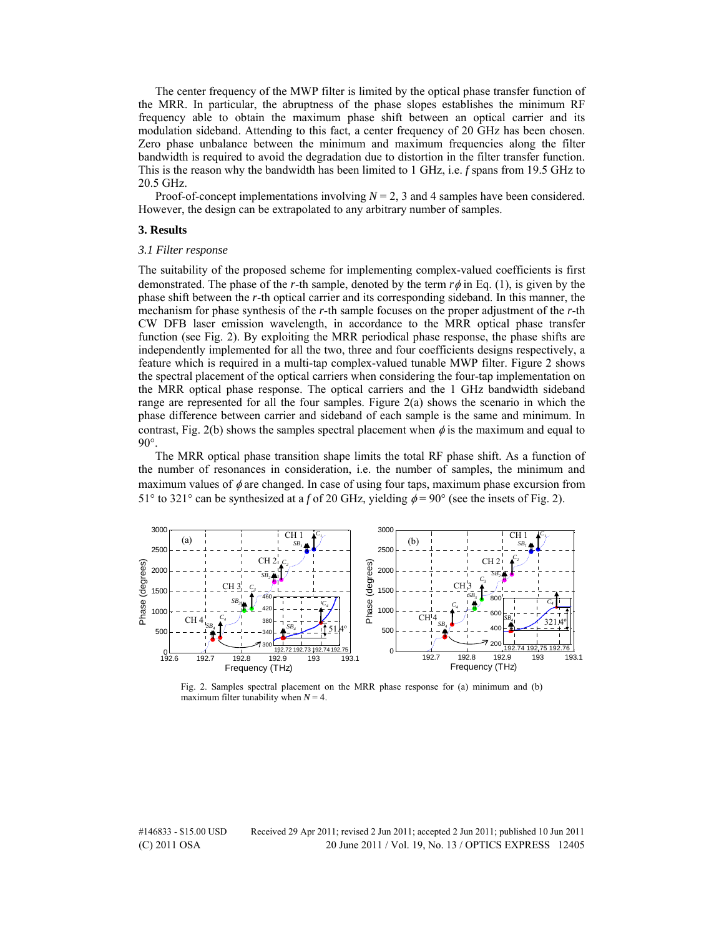The center frequency of the MWP filter is limited by the optical phase transfer function of the MRR. In particular, the abruptness of the phase slopes establishes the minimum RF frequency able to obtain the maximum phase shift between an optical carrier and its modulation sideband. Attending to this fact, a center frequency of 20 GHz has been chosen. Zero phase unbalance between the minimum and maximum frequencies along the filter bandwidth is required to avoid the degradation due to distortion in the filter transfer function. This is the reason why the bandwidth has been limited to 1 GHz, i.e. *f* spans from 19.5 GHz to 20.5 GHz.

Proof-of-concept implementations involving  $N = 2$ , 3 and 4 samples have been considered. However, the design can be extrapolated to any arbitrary number of samples.

#### **3. Results**

#### *3.1 Filter response*

The suitability of the proposed scheme for implementing complex-valued coefficients is first demonstrated. The phase of the *r*-th sample, denoted by the term  $r\phi$  in Eq. (1), is given by the phase shift between the *r*-th optical carrier and its corresponding sideband. In this manner, the mechanism for phase synthesis of the *r*-th sample focuses on the proper adjustment of the *r*-th CW DFB laser emission wavelength, in accordance to the MRR optical phase transfer function (see Fig. 2). By exploiting the MRR periodical phase response, the phase shifts are independently implemented for all the two, three and four coefficients designs respectively, a feature which is required in a multi-tap complex-valued tunable MWP filter. Figure 2 shows the spectral placement of the optical carriers when considering the four-tap implementation on the MRR optical phase response. The optical carriers and the 1 GHz bandwidth sideband range are represented for all the four samples. Figure 2(a) shows the scenario in which the phase difference between carrier and sideband of each sample is the same and minimum. In contrast, Fig. 2(b) shows the samples spectral placement when  $\phi$  is the maximum and equal to 90°.

The MRR optical phase transition shape limits the total RF phase shift. As a function of the number of resonances in consideration, i.e. the number of samples, the minimum and maximum values of  $\phi$  are changed. In case of using four taps, maximum phase excursion from 51° to 321° can be synthesized at a *f* of 20 GHz, yielding  $\phi = 90^\circ$  (see the insets of Fig. 2).



Fig. 2. Samples spectral placement on the MRR phase response for (a) minimum and (b) maximum filter tunability when  $N = 4$ .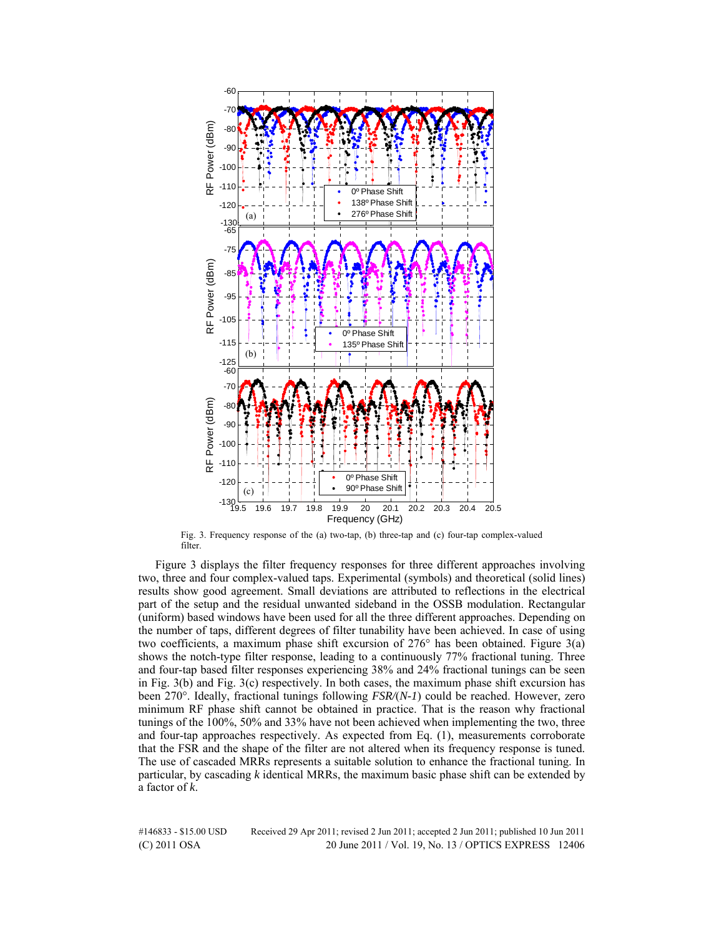

Fig. 3. Frequency response of the (a) two-tap, (b) three-tap and (c) four-tap complex-valued filter.

Figure 3 displays the filter frequency responses for three different approaches involving two, three and four complex-valued taps. Experimental (symbols) and theoretical (solid lines) results show good agreement. Small deviations are attributed to reflections in the electrical part of the setup and the residual unwanted sideband in the OSSB modulation. Rectangular (uniform) based windows have been used for all the three different approaches. Depending on the number of taps, different degrees of filter tunability have been achieved. In case of using two coefficients, a maximum phase shift excursion of 276° has been obtained. Figure 3(a) shows the notch-type filter response, leading to a continuously 77% fractional tuning. Three and four-tap based filter responses experiencing 38% and 24% fractional tunings can be seen in Fig. 3(b) and Fig. 3(c) respectively. In both cases, the maximum phase shift excursion has been 270°. Ideally, fractional tunings following *FSR/*(*N-1*) could be reached. However, zero minimum RF phase shift cannot be obtained in practice. That is the reason why fractional tunings of the 100%, 50% and 33% have not been achieved when implementing the two, three and four-tap approaches respectively. As expected from Eq. (1), measurements corroborate that the FSR and the shape of the filter are not altered when its frequency response is tuned. The use of cascaded MRRs represents a suitable solution to enhance the fractional tuning. In particular, by cascading *k* identical MRRs, the maximum basic phase shift can be extended by a factor of *k*.